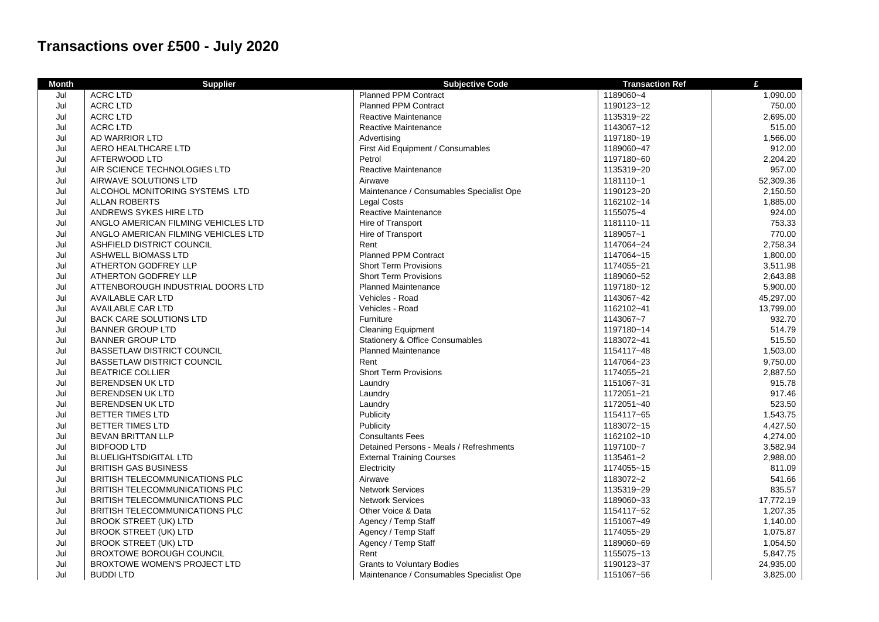## **Transactions over £500 - July 2020**

| <b>Month</b> | <b>Supplier</b>                       | <b>Subjective Code</b>                   | <b>Transaction Ref</b> | £         |
|--------------|---------------------------------------|------------------------------------------|------------------------|-----------|
| Jul          | <b>ACRC LTD</b>                       | <b>Planned PPM Contract</b>              | 1189060~4              | 1,090.00  |
| Jul          | <b>ACRC LTD</b>                       | <b>Planned PPM Contract</b>              | 1190123~12             | 750.00    |
| Jul          | <b>ACRC LTD</b>                       | Reactive Maintenance                     | 1135319~22             | 2,695.00  |
| Jul          | <b>ACRC LTD</b>                       | Reactive Maintenance                     | 1143067~12             | 515.00    |
| Jul          | AD WARRIOR LTD                        | Advertising                              | 1197180~19             | 1,566.00  |
| Jul          | AERO HEALTHCARE LTD                   | First Aid Equipment / Consumables        | 1189060~47             | 912.00    |
| Jul          | AFTERWOOD LTD                         | Petrol                                   | 1197180~60             | 2,204.20  |
| Jul          | AIR SCIENCE TECHNOLOGIES LTD          | Reactive Maintenance                     | 1135319~20             | 957.00    |
| Jul          | AIRWAVE SOLUTIONS LTD                 | Airwave                                  | 1181110~1              | 52,309.36 |
| Jul          | ALCOHOL MONITORING SYSTEMS LTD        | Maintenance / Consumables Specialist Ope | 1190123~20             | 2,150.50  |
| Jul          | <b>ALLAN ROBERTS</b>                  | <b>Legal Costs</b>                       | 1162102~14             | 1,885.00  |
| Jul          | ANDREWS SYKES HIRE LTD                | Reactive Maintenance                     | 1155075~4              | 924.00    |
| Jul          | ANGLO AMERICAN FILMING VEHICLES LTD   | Hire of Transport                        | 1181110~11             | 753.33    |
| Jul          | ANGLO AMERICAN FILMING VEHICLES LTD   | Hire of Transport                        | 1189057~1              | 770.00    |
| Jul          | ASHFIELD DISTRICT COUNCIL             | Rent                                     | 1147064~24             | 2,758.34  |
| Jul          | ASHWELL BIOMASS LTD                   | <b>Planned PPM Contract</b>              | 1147064~15             | 1,800.00  |
| Jul          | ATHERTON GODFREY LLP                  | <b>Short Term Provisions</b>             | 1174055~21             | 3,511.98  |
| Jul          | ATHERTON GODFREY LLP                  | <b>Short Term Provisions</b>             | 1189060~52             | 2,643.88  |
| Jul          | ATTENBOROUGH INDUSTRIAL DOORS LTD     | <b>Planned Maintenance</b>               | 1197180~12             | 5,900.00  |
| Jul          | <b>AVAILABLE CAR LTD</b>              | Vehicles - Road                          | 1143067~42             | 45,297.00 |
| Jul          | AVAILABLE CAR LTD                     | Vehicles - Road                          | 1162102~41             | 13,799.00 |
| Jul          | <b>BACK CARE SOLUTIONS LTD</b>        | Furniture                                | 1143067~7              | 932.70    |
| Jul          | <b>BANNER GROUP LTD</b>               | <b>Cleaning Equipment</b>                | 1197180~14             | 514.79    |
| Jul          | <b>BANNER GROUP LTD</b>               | Stationery & Office Consumables          | 1183072~41             | 515.50    |
| Jul          | <b>BASSETLAW DISTRICT COUNCIL</b>     | <b>Planned Maintenance</b>               | 1154117~48             | 1,503.00  |
| Jul          | <b>BASSETLAW DISTRICT COUNCIL</b>     | Rent                                     | 1147064~23             | 9,750.00  |
| Jul          | <b>BEATRICE COLLIER</b>               | <b>Short Term Provisions</b>             | 1174055~21             | 2,887.50  |
| Jul          | <b>BERENDSEN UK LTD</b>               | Laundry                                  | 1151067~31             | 915.78    |
| Jul          | <b>BERENDSEN UK LTD</b>               | Laundry                                  | 1172051~21             | 917.46    |
| Jul          | <b>BERENDSEN UK LTD</b>               | Laundry                                  | 1172051~40             | 523.50    |
| Jul          | <b>BETTER TIMES LTD</b>               | Publicity                                | 1154117~65             | 1,543.75  |
| Jul          | <b>BETTER TIMES LTD</b>               | Publicity                                | 1183072~15             | 4,427.50  |
| Jul          | <b>BEVAN BRITTAN LLP</b>              | <b>Consultants Fees</b>                  | 1162102~10             | 4,274.00  |
| Jul          | <b>BIDFOOD LTD</b>                    | Detained Persons - Meals / Refreshments  | 1197100~7              | 3,582.94  |
| Jul          | <b>BLUELIGHTSDIGITAL LTD</b>          | <b>External Training Courses</b>         | 1135461~2              | 2,988.00  |
| Jul          | <b>BRITISH GAS BUSINESS</b>           | Electricity                              | 1174055~15             | 811.09    |
| Jul          | <b>BRITISH TELECOMMUNICATIONS PLC</b> | Airwave                                  | 1183072~2              | 541.66    |
| Jul          | BRITISH TELECOMMUNICATIONS PLC        | <b>Network Services</b>                  | 1135319~29             | 835.57    |
| Jul          | <b>BRITISH TELECOMMUNICATIONS PLC</b> | <b>Network Services</b>                  | 1189060~33             | 17,772.19 |
| Jul          | BRITISH TELECOMMUNICATIONS PLC        | Other Voice & Data                       | 1154117~52             | 1,207.35  |
| Jul          | <b>BROOK STREET (UK) LTD</b>          | Agency / Temp Staff                      | 1151067~49             | 1,140.00  |
| Jul          | <b>BROOK STREET (UK) LTD</b>          | Agency / Temp Staff                      | 1174055~29             | 1,075.87  |
| Jul          | <b>BROOK STREET (UK) LTD</b>          | Agency / Temp Staff                      | 1189060~69             | 1,054.50  |
| Jul          | <b>BROXTOWE BOROUGH COUNCIL</b>       | Rent                                     | 1155075~13             | 5,847.75  |
| Jul          | <b>BROXTOWE WOMEN'S PROJECT LTD</b>   | <b>Grants to Voluntary Bodies</b>        | 1190123~37             | 24,935.00 |
| Jul          | <b>BUDDILTD</b>                       | Maintenance / Consumables Specialist Ope | 1151067~56             | 3,825.00  |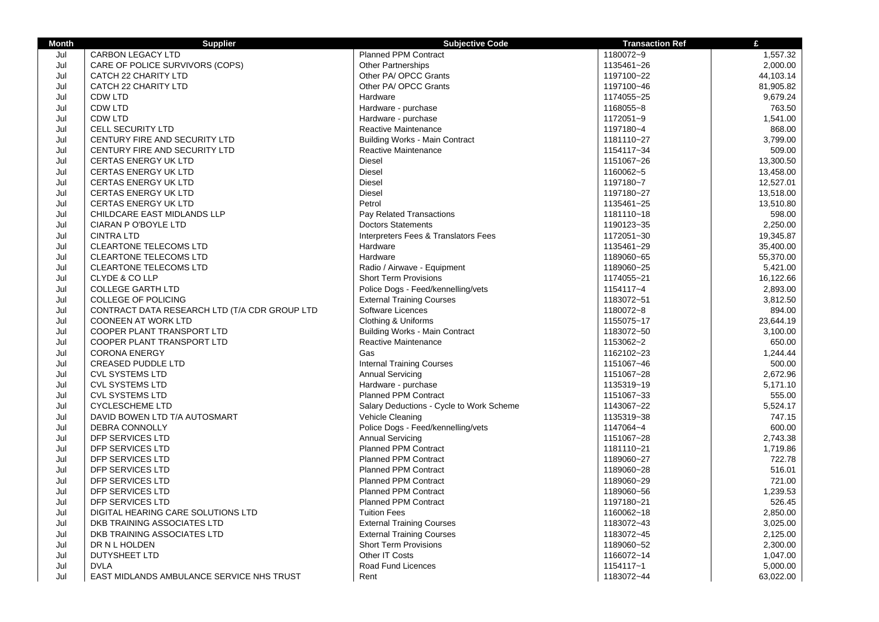| <b>Month</b> | <b>Supplier</b>                               | <b>Subjective Code</b>                   | <b>Transaction Ref</b> | £         |
|--------------|-----------------------------------------------|------------------------------------------|------------------------|-----------|
| Jul          | CARBON LEGACY LTD                             | <b>Planned PPM Contract</b>              | 1180072~9              | 1,557.32  |
| Jul          | CARE OF POLICE SURVIVORS (COPS)               | <b>Other Partnerships</b>                | 1135461~26             | 2,000.00  |
| Jul          | CATCH 22 CHARITY LTD                          | Other PA/ OPCC Grants                    | 1197100~22             | 44,103.14 |
| Jul          | CATCH 22 CHARITY LTD                          | Other PA/ OPCC Grants                    | 1197100~46             | 81,905.82 |
| Jul          | CDW LTD                                       | Hardware                                 | 1174055~25             | 9,679.24  |
| Jul          | CDW LTD                                       | Hardware - purchase                      | 1168055~8              | 763.50    |
| Jul          | CDW LTD                                       | Hardware - purchase                      | 1172051~9              | 1,541.00  |
| Jul          | <b>CELL SECURITY LTD</b>                      | Reactive Maintenance                     | 1197180~4              | 868.00    |
| Jul          | CENTURY FIRE AND SECURITY LTD                 | <b>Building Works - Main Contract</b>    | 1181110~27             | 3,799.00  |
| Jul          | CENTURY FIRE AND SECURITY LTD                 | Reactive Maintenance                     | 1154117~34             | 509.00    |
| Jul          | <b>CERTAS ENERGY UK LTD</b>                   | Diesel                                   | 1151067~26             | 13,300.50 |
| Jul          | <b>CERTAS ENERGY UK LTD</b>                   | <b>Diesel</b>                            | 1160062~5              | 13,458.00 |
| Jul          | <b>CERTAS ENERGY UK LTD</b>                   | Diesel                                   | 1197180~7              | 12,527.01 |
| Jul          | <b>CERTAS ENERGY UK LTD</b>                   | <b>Diesel</b>                            | 1197180~27             | 13,518.00 |
| Jul          | <b>CERTAS ENERGY UK LTD</b>                   | Petrol                                   | 1135461~25             | 13,510.80 |
| Jul          | CHILDCARE EAST MIDLANDS LLP                   | Pay Related Transactions                 | 1181110~18             | 598.00    |
| Jul          | CIARAN P O'BOYLE LTD                          | <b>Doctors Statements</b>                | 1190123~35             | 2,250.00  |
| Jul          | <b>CINTRA LTD</b>                             | Interpreters Fees & Translators Fees     | 1172051~30             | 19,345.87 |
| Jul          | <b>CLEARTONE TELECOMS LTD</b>                 | Hardware                                 | 1135461~29             | 35,400.00 |
| Jul          | <b>CLEARTONE TELECOMS LTD</b>                 | Hardware                                 | 1189060~65             | 55,370.00 |
| Jul          | CLEARTONE TELECOMS LTD                        | Radio / Airwave - Equipment              | 1189060~25             | 5,421.00  |
| Jul          | CLYDE & CO LLP                                | <b>Short Term Provisions</b>             | 1174055~21             | 16,122.66 |
| Jul          | <b>COLLEGE GARTH LTD</b>                      | Police Dogs - Feed/kennelling/vets       | 1154117~4              | 2,893.00  |
| Jul          | COLLEGE OF POLICING                           | <b>External Training Courses</b>         | 1183072~51             | 3,812.50  |
| Jul          | CONTRACT DATA RESEARCH LTD (T/A CDR GROUP LTD | Software Licences                        | 1180072~8              | 894.00    |
| Jul          | <b>COONEEN AT WORK LTD</b>                    | Clothing & Uniforms                      | 1155075~17             | 23,644.19 |
| Jul          | COOPER PLANT TRANSPORT LTD                    | <b>Building Works - Main Contract</b>    | 1183072~50             | 3,100.00  |
| Jul          | COOPER PLANT TRANSPORT LTD                    | Reactive Maintenance                     | 1153062~2              | 650.00    |
| Jul          | <b>CORONA ENERGY</b>                          | Gas                                      | 1162102~23             | 1,244.44  |
| Jul          | <b>CREASED PUDDLE LTD</b>                     | <b>Internal Training Courses</b>         | 1151067~46             | 500.00    |
| Jul          | <b>CVL SYSTEMS LTD</b>                        | <b>Annual Servicing</b>                  | 1151067~28             | 2,672.96  |
| Jul          | <b>CVL SYSTEMS LTD</b>                        | Hardware - purchase                      | 1135319~19             | 5,171.10  |
| Jul          | <b>CVL SYSTEMS LTD</b>                        | Planned PPM Contract                     | 1151067~33             | 555.00    |
| Jul          | <b>CYCLESCHEME LTD</b>                        | Salary Deductions - Cycle to Work Scheme | 1143067~22             | 5,524.17  |
| Jul          | DAVID BOWEN LTD T/A AUTOSMART                 | Vehicle Cleaning                         | 1135319~38             | 747.15    |
| Jul          | DEBRA CONNOLLY                                | Police Dogs - Feed/kennelling/vets       | 1147064~4              | 600.00    |
| Jul          | DFP SERVICES LTD                              | <b>Annual Servicing</b>                  | 1151067~28             | 2,743.38  |
| Jul          | DFP SERVICES LTD                              | <b>Planned PPM Contract</b>              | 1181110~21             | 1,719.86  |
| Jul          | DFP SERVICES LTD                              | <b>Planned PPM Contract</b>              | 1189060~27             | 722.78    |
| Jul          | DFP SERVICES LTD                              | <b>Planned PPM Contract</b>              | 1189060~28             | 516.01    |
| Jul          | DFP SERVICES LTD                              | <b>Planned PPM Contract</b>              | 1189060~29             | 721.00    |
| Jul          | <b>DFP SERVICES LTD</b>                       | <b>Planned PPM Contract</b>              | 1189060~56             | 1,239.53  |
| Jul          | DFP SERVICES LTD                              | Planned PPM Contract                     | 1197180~21             | 526.45    |
| Jul          | DIGITAL HEARING CARE SOLUTIONS LTD            | <b>Tuition Fees</b>                      | 1160062~18             | 2,850.00  |
| Jul          | DKB TRAINING ASSOCIATES LTD                   | <b>External Training Courses</b>         | 1183072~43             | 3,025.00  |
| Jul          | DKB TRAINING ASSOCIATES LTD                   | <b>External Training Courses</b>         | 1183072~45             | 2,125.00  |
| Jul          | DR N L HOLDEN                                 | <b>Short Term Provisions</b>             | 1189060~52             | 2,300.00  |
| Jul          | DUTYSHEET LTD                                 | Other IT Costs                           | 1166072~14             | 1,047.00  |
| Jul          | <b>DVLA</b>                                   | Road Fund Licences                       | 1154117~1              | 5,000.00  |
| Jul          | EAST MIDLANDS AMBULANCE SERVICE NHS TRUST     | Rent                                     | 1183072~44             | 63,022.00 |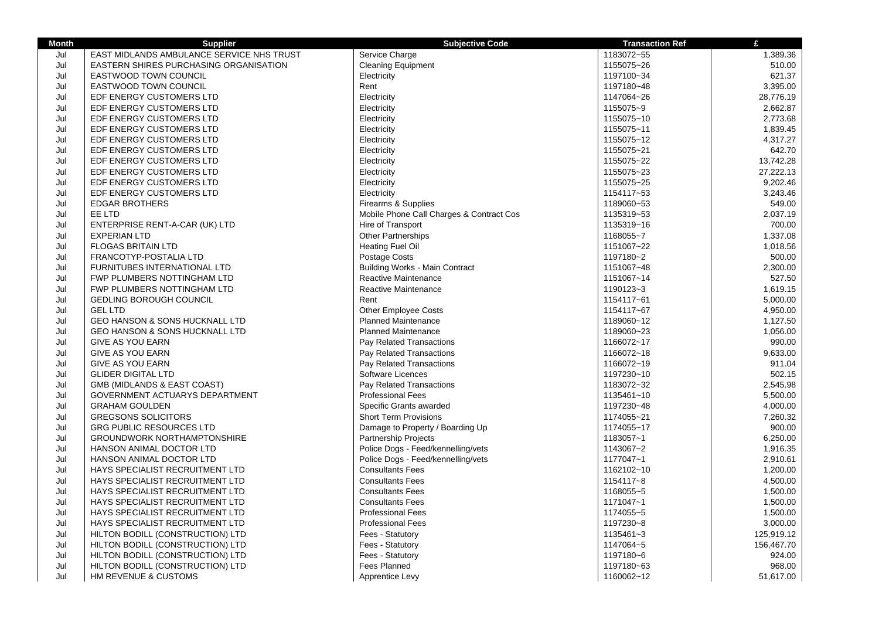| <b>Month</b> | <b>Supplier</b>                           | <b>Subjective Code</b>                   | <b>Transaction Ref</b> | £          |
|--------------|-------------------------------------------|------------------------------------------|------------------------|------------|
| Jul          | EAST MIDLANDS AMBULANCE SERVICE NHS TRUST | Service Charge                           | 1183072~55             | 1,389.36   |
| Jul          | EASTERN SHIRES PURCHASING ORGANISATION    | <b>Cleaning Equipment</b>                | 1155075~26             | 510.00     |
| Jul          | <b>EASTWOOD TOWN COUNCIL</b>              | Electricity                              | 1197100~34             | 621.37     |
| Jul          | <b>EASTWOOD TOWN COUNCIL</b>              | Rent                                     | 1197180~48             | 3,395.00   |
| Jul          | EDF ENERGY CUSTOMERS LTD                  | Electricity                              | 1147064~26             | 28,776.19  |
| Jul          | EDF ENERGY CUSTOMERS LTD                  | Electricity                              | 1155075~9              | 2,662.87   |
| Jul          | EDF ENERGY CUSTOMERS LTD                  | Electricity                              | 1155075~10             | 2,773.68   |
| Jul          | EDF ENERGY CUSTOMERS LTD                  | Electricity                              | 1155075~11             | 1,839.45   |
| Jul          | EDF ENERGY CUSTOMERS LTD                  | Electricity                              | 1155075~12             | 4,317.27   |
| Jul          | EDF ENERGY CUSTOMERS LTD                  | Electricity                              | 1155075~21             | 642.70     |
| Jul          | EDF ENERGY CUSTOMERS LTD                  | Electricity                              | 1155075~22             | 13,742.28  |
| Jul          | EDF ENERGY CUSTOMERS LTD                  | Electricity                              | 1155075~23             | 27,222.13  |
| Jul          | EDF ENERGY CUSTOMERS LTD                  | Electricity                              | 1155075~25             | 9,202.46   |
| Jul          | EDF ENERGY CUSTOMERS LTD                  | Electricity                              | 1154117~53             | 3,243.46   |
| Jul          | <b>EDGAR BROTHERS</b>                     | Firearms & Supplies                      | 1189060~53             | 549.00     |
| Jul          | EE LTD                                    | Mobile Phone Call Charges & Contract Cos | 1135319~53             | 2,037.19   |
| Jul          | ENTERPRISE RENT-A-CAR (UK) LTD            | Hire of Transport                        | 1135319~16             | 700.00     |
| Jul          | <b>EXPERIAN LTD</b>                       | <b>Other Partnerships</b>                | 1168055~7              | 1,337.08   |
| Jul          | <b>FLOGAS BRITAIN LTD</b>                 | <b>Heating Fuel Oil</b>                  | 1151067~22             | 1,018.56   |
| Jul          | FRANCOTYP-POSTALIA LTD                    | Postage Costs                            | 1197180~2              | 500.00     |
| Jul          | FURNITUBES INTERNATIONAL LTD              | <b>Building Works - Main Contract</b>    | 1151067~48             | 2,300.00   |
| Jul          | FWP PLUMBERS NOTTINGHAM LTD               | Reactive Maintenance                     | 1151067~14             | 527.50     |
| Jul          | FWP PLUMBERS NOTTINGHAM LTD               | Reactive Maintenance                     | 1190123~3              | 1,619.15   |
| Jul          | <b>GEDLING BOROUGH COUNCIL</b>            | Rent                                     | 1154117~61             | 5,000.00   |
| Jul          | <b>GEL LTD</b>                            | <b>Other Employee Costs</b>              | 1154117~67             | 4,950.00   |
| Jul          | GEO HANSON & SONS HUCKNALL LTD            | <b>Planned Maintenance</b>               | 1189060~12             | 1,127.50   |
| Jul          | GEO HANSON & SONS HUCKNALL LTD            | <b>Planned Maintenance</b>               | 1189060~23             | 1,056.00   |
| Jul          | <b>GIVE AS YOU EARN</b>                   | Pay Related Transactions                 | 1166072~17             | 990.00     |
| Jul          | <b>GIVE AS YOU EARN</b>                   | Pay Related Transactions                 | 1166072~18             | 9,633.00   |
| Jul          | <b>GIVE AS YOU EARN</b>                   | Pay Related Transactions                 | 1166072~19             | 911.04     |
| Jul          | <b>GLIDER DIGITAL LTD</b>                 | Software Licences                        | 1197230~10             | 502.15     |
| Jul          | <b>GMB (MIDLANDS &amp; EAST COAST)</b>    | Pay Related Transactions                 | 1183072~32             | 2,545.98   |
| Jul          | GOVERNMENT ACTUARYS DEPARTMENT            | <b>Professional Fees</b>                 | 1135461~10             | 5,500.00   |
| Jul          | <b>GRAHAM GOULDEN</b>                     | Specific Grants awarded                  | 1197230~48             | 4,000.00   |
| Jul          | <b>GREGSONS SOLICITORS</b>                | <b>Short Term Provisions</b>             | 1174055~21             | 7,260.32   |
| Jul          | <b>GRG PUBLIC RESOURCES LTD</b>           | Damage to Property / Boarding Up         | 1174055~17             | 900.00     |
| Jul          | <b>GROUNDWORK NORTHAMPTONSHIRE</b>        | Partnership Projects                     | 1183057~1              | 6,250.00   |
| Jul          | HANSON ANIMAL DOCTOR LTD                  | Police Dogs - Feed/kennelling/vets       | 1143067~2              | 1,916.35   |
| Jul          | HANSON ANIMAL DOCTOR LTD                  | Police Dogs - Feed/kennelling/vets       | 1177047~1              | 2,910.61   |
| Jul          | HAYS SPECIALIST RECRUITMENT LTD           | <b>Consultants Fees</b>                  | 1162102~10             | 1,200.00   |
| Jul          | HAYS SPECIALIST RECRUITMENT LTD           | <b>Consultants Fees</b>                  | 1154117~8              | 4,500.00   |
| Jul          | HAYS SPECIALIST RECRUITMENT LTD           | <b>Consultants Fees</b>                  | 1168055~5              | 1,500.00   |
| Jul          | HAYS SPECIALIST RECRUITMENT LTD           | <b>Consultants Fees</b>                  | 1171047~1              | 1,500.00   |
| Jul          | HAYS SPECIALIST RECRUITMENT LTD           | <b>Professional Fees</b>                 | 1174055~5              | 1,500.00   |
| Jul          | HAYS SPECIALIST RECRUITMENT LTD           | <b>Professional Fees</b>                 | 1197230~8              | 3,000.00   |
| Jul          | HILTON BODILL (CONSTRUCTION) LTD          | Fees - Statutory                         | 1135461~3              | 125,919.12 |
| Jul          | HILTON BODILL (CONSTRUCTION) LTD          | Fees - Statutory                         | 1147064~5              | 156,467.70 |
| Jul          | HILTON BODILL (CONSTRUCTION) LTD          | Fees - Statutory                         | 1197180~6              | 924.00     |
| Jul          | HILTON BODILL (CONSTRUCTION) LTD          | <b>Fees Planned</b>                      | 1197180~63             | 968.00     |
| Jul          | HM REVENUE & CUSTOMS                      | Apprentice Levy                          | 1160062~12             | 51,617.00  |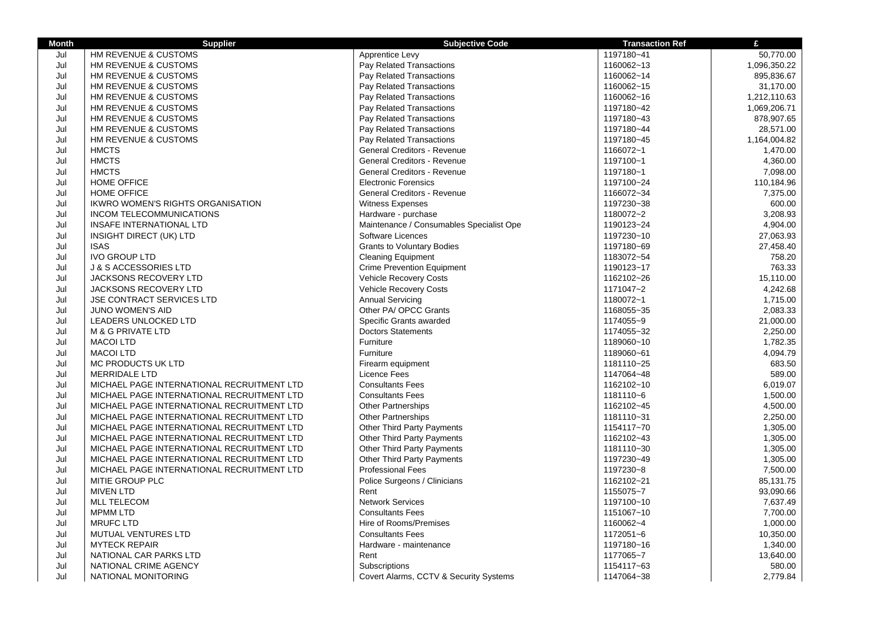| Apprentice Levy<br>HM REVENUE & CUSTOMS<br>1197180~41<br>50,770.00<br>Jul<br>Pay Related Transactions<br>1160062~13<br>Jul<br>HM REVENUE & CUSTOMS<br>1,096,350.22<br>Jul<br>1160062~14<br>895,836.67<br>HM REVENUE & CUSTOMS<br>Pay Related Transactions<br>Jul<br>Pay Related Transactions<br>1160062~15<br>31,170.00<br>HM REVENUE & CUSTOMS<br>Jul<br>HM REVENUE & CUSTOMS<br>Pay Related Transactions<br>1160062~16<br>1,212,110.63<br>Jul<br>Pay Related Transactions<br>1197180~42<br>1,069,206.71<br>HM REVENUE & CUSTOMS<br>Jul<br>HM REVENUE & CUSTOMS<br>Pay Related Transactions<br>1197180~43<br>878,907.65<br>Jul<br>HM REVENUE & CUSTOMS<br>Pay Related Transactions<br>1197180~44<br>28,571.00<br>Jul<br>HM REVENUE & CUSTOMS<br>Pay Related Transactions<br>1197180~45<br>1,164,004.82<br>Jul<br><b>HMCTS</b><br>General Creditors - Revenue<br>1,470.00<br>1166072~1<br>Jul<br><b>HMCTS</b><br><b>General Creditors - Revenue</b><br>1197100~1<br>4,360.00<br><b>HMCTS</b><br><b>General Creditors - Revenue</b><br>Jul<br>1197180~1<br>7,098.00<br>Jul<br><b>HOME OFFICE</b><br><b>Electronic Forensics</b><br>1197100~24<br>110,184.96<br>Jul<br><b>HOME OFFICE</b><br>General Creditors - Revenue<br>1166072~34<br>7,375.00<br>Jul<br>1197230~38<br>600.00<br>IKWRO WOMEN'S RIGHTS ORGANISATION<br><b>Witness Expenses</b><br>Jul<br><b>INCOM TELECOMMUNICATIONS</b><br>Hardware - purchase<br>1180072~2<br>3,208.93<br>Maintenance / Consumables Specialist Ope<br>Jul<br>INSAFE INTERNATIONAL LTD<br>1190123~24<br>4,904.00<br>Jul<br><b>INSIGHT DIRECT (UK) LTD</b><br>Software Licences<br>1197230~10<br>27,063.93<br>Jul<br><b>ISAS</b><br><b>Grants to Voluntary Bodies</b><br>1197180~69<br>27,458.40<br>Jul<br><b>IVO GROUP LTD</b><br><b>Cleaning Equipment</b><br>1183072~54<br>758.20<br>Jul<br><b>J &amp; S ACCESSORIES LTD</b><br><b>Crime Prevention Equipment</b><br>1190123~17<br>763.33<br>Jul<br><b>Vehicle Recovery Costs</b><br>15,110.00<br><b>JACKSONS RECOVERY LTD</b><br>1162102~26<br>Jul<br>Vehicle Recovery Costs<br>4,242.68<br><b>JACKSONS RECOVERY LTD</b><br>1171047~2<br>Jul<br>JSE CONTRACT SERVICES LTD<br><b>Annual Servicing</b><br>1180072~1<br>1,715.00<br>Other PA/ OPCC Grants<br>2,083.33<br>Jul<br><b>JUNO WOMEN'S AID</b><br>1168055~35<br>Jul<br>LEADERS UNLOCKED LTD<br>Specific Grants awarded<br>1174055~9<br>21,000.00<br><b>Doctors Statements</b><br>1174055~32<br>2,250.00<br>Jul<br><b>M &amp; G PRIVATE LTD</b><br>Jul<br><b>MACOI LTD</b><br>Furniture<br>1189060~10<br>1,782.35<br>Furniture<br>Jul<br><b>MACOI LTD</b><br>1189060~61<br>4,094.79<br>Jul<br>MC PRODUCTS UK LTD<br>Firearm equipment<br>1181110~25<br>683.50<br>589.00<br>Jul<br>Licence Fees<br>1147064~48<br><b>MERRIDALE LTD</b><br>Jul<br><b>Consultants Fees</b><br>6,019.07<br>MICHAEL PAGE INTERNATIONAL RECRUITMENT LTD<br>1162102~10<br>Jul<br>1,500.00<br>MICHAEL PAGE INTERNATIONAL RECRUITMENT LTD<br><b>Consultants Fees</b><br>1181110~6<br>Jul<br>MICHAEL PAGE INTERNATIONAL RECRUITMENT LTD<br><b>Other Partnerships</b><br>1162102~45<br>4,500.00<br>Jul<br><b>Other Partnerships</b><br>2,250.00<br>MICHAEL PAGE INTERNATIONAL RECRUITMENT LTD<br>1181110~31<br>Jul<br>MICHAEL PAGE INTERNATIONAL RECRUITMENT LTD<br><b>Other Third Party Payments</b><br>1154117~70<br>1,305.00<br>Jul<br>MICHAEL PAGE INTERNATIONAL RECRUITMENT LTD<br><b>Other Third Party Payments</b><br>1162102~43<br>1,305.00<br>Jul<br><b>Other Third Party Payments</b><br>1181110~30<br>1,305.00<br>MICHAEL PAGE INTERNATIONAL RECRUITMENT LTD<br>Jul<br>Other Third Party Payments<br>MICHAEL PAGE INTERNATIONAL RECRUITMENT LTD<br>1197230~49<br>1,305.00<br><b>Professional Fees</b><br>1197230~8<br>Jul<br>MICHAEL PAGE INTERNATIONAL RECRUITMENT LTD<br>7,500.00<br>Jul<br>MITIE GROUP PLC<br>Police Surgeons / Clinicians<br>1162102~21<br>85,131.75<br><b>MIVEN LTD</b><br>93,090.66<br>Jul<br>Rent<br>1155075~7<br><b>Network Services</b><br>Jul<br><b>MLL TELECOM</b><br>1197100~10<br>7,637.49<br><b>Consultants Fees</b><br>Jul<br><b>MPMM LTD</b><br>1151067~10<br>7,700.00<br>Jul<br><b>MRUFC LTD</b><br>Hire of Rooms/Premises<br>1160062~4<br>1,000.00<br>Jul<br><b>MUTUAL VENTURES LTD</b><br><b>Consultants Fees</b><br>1172051~6<br>10,350.00<br>Jul<br><b>MYTECK REPAIR</b><br>Hardware - maintenance<br>1197180~16<br>1,340.00<br>Jul<br>1177065~7<br>13,640.00<br>NATIONAL CAR PARKS LTD<br>Rent<br>580.00<br>Jul<br>NATIONAL CRIME AGENCY<br>Subscriptions<br>1154117~63<br>Jul<br>Covert Alarms, CCTV & Security Systems<br>1147064~38<br>2,779.84<br>NATIONAL MONITORING | <b>Month</b> | <b>Supplier</b> | <b>Subjective Code</b> | <b>Transaction Ref</b> | £ |
|------------------------------------------------------------------------------------------------------------------------------------------------------------------------------------------------------------------------------------------------------------------------------------------------------------------------------------------------------------------------------------------------------------------------------------------------------------------------------------------------------------------------------------------------------------------------------------------------------------------------------------------------------------------------------------------------------------------------------------------------------------------------------------------------------------------------------------------------------------------------------------------------------------------------------------------------------------------------------------------------------------------------------------------------------------------------------------------------------------------------------------------------------------------------------------------------------------------------------------------------------------------------------------------------------------------------------------------------------------------------------------------------------------------------------------------------------------------------------------------------------------------------------------------------------------------------------------------------------------------------------------------------------------------------------------------------------------------------------------------------------------------------------------------------------------------------------------------------------------------------------------------------------------------------------------------------------------------------------------------------------------------------------------------------------------------------------------------------------------------------------------------------------------------------------------------------------------------------------------------------------------------------------------------------------------------------------------------------------------------------------------------------------------------------------------------------------------------------------------------------------------------------------------------------------------------------------------------------------------------------------------------------------------------------------------------------------------------------------------------------------------------------------------------------------------------------------------------------------------------------------------------------------------------------------------------------------------------------------------------------------------------------------------------------------------------------------------------------------------------------------------------------------------------------------------------------------------------------------------------------------------------------------------------------------------------------------------------------------------------------------------------------------------------------------------------------------------------------------------------------------------------------------------------------------------------------------------------------------------------------------------------------------------------------------------------------------------------------------------------------------------------------------------------------------------------------------------------------------------------------------------------------------------------------------------------------------------------------------------------------------------------------------------------------------------------------------------------------------------------------------------------------------------------------------------------------------------------------------------------------------------------------------------------------------------------------------------------------------------------------------------------------------------------------------------------------------------------------------------------------------------------------------------------------------------------------------------------------------------------------------------------|--------------|-----------------|------------------------|------------------------|---|
|                                                                                                                                                                                                                                                                                                                                                                                                                                                                                                                                                                                                                                                                                                                                                                                                                                                                                                                                                                                                                                                                                                                                                                                                                                                                                                                                                                                                                                                                                                                                                                                                                                                                                                                                                                                                                                                                                                                                                                                                                                                                                                                                                                                                                                                                                                                                                                                                                                                                                                                                                                                                                                                                                                                                                                                                                                                                                                                                                                                                                                                                                                                                                                                                                                                                                                                                                                                                                                                                                                                                                                                                                                                                                                                                                                                                                                                                                                                                                                                                                                                                                                                                                                                                                                                                                                                                                                                                                                                                                                                                                                                                                                          |              |                 |                        |                        |   |
|                                                                                                                                                                                                                                                                                                                                                                                                                                                                                                                                                                                                                                                                                                                                                                                                                                                                                                                                                                                                                                                                                                                                                                                                                                                                                                                                                                                                                                                                                                                                                                                                                                                                                                                                                                                                                                                                                                                                                                                                                                                                                                                                                                                                                                                                                                                                                                                                                                                                                                                                                                                                                                                                                                                                                                                                                                                                                                                                                                                                                                                                                                                                                                                                                                                                                                                                                                                                                                                                                                                                                                                                                                                                                                                                                                                                                                                                                                                                                                                                                                                                                                                                                                                                                                                                                                                                                                                                                                                                                                                                                                                                                                          |              |                 |                        |                        |   |
|                                                                                                                                                                                                                                                                                                                                                                                                                                                                                                                                                                                                                                                                                                                                                                                                                                                                                                                                                                                                                                                                                                                                                                                                                                                                                                                                                                                                                                                                                                                                                                                                                                                                                                                                                                                                                                                                                                                                                                                                                                                                                                                                                                                                                                                                                                                                                                                                                                                                                                                                                                                                                                                                                                                                                                                                                                                                                                                                                                                                                                                                                                                                                                                                                                                                                                                                                                                                                                                                                                                                                                                                                                                                                                                                                                                                                                                                                                                                                                                                                                                                                                                                                                                                                                                                                                                                                                                                                                                                                                                                                                                                                                          |              |                 |                        |                        |   |
|                                                                                                                                                                                                                                                                                                                                                                                                                                                                                                                                                                                                                                                                                                                                                                                                                                                                                                                                                                                                                                                                                                                                                                                                                                                                                                                                                                                                                                                                                                                                                                                                                                                                                                                                                                                                                                                                                                                                                                                                                                                                                                                                                                                                                                                                                                                                                                                                                                                                                                                                                                                                                                                                                                                                                                                                                                                                                                                                                                                                                                                                                                                                                                                                                                                                                                                                                                                                                                                                                                                                                                                                                                                                                                                                                                                                                                                                                                                                                                                                                                                                                                                                                                                                                                                                                                                                                                                                                                                                                                                                                                                                                                          |              |                 |                        |                        |   |
|                                                                                                                                                                                                                                                                                                                                                                                                                                                                                                                                                                                                                                                                                                                                                                                                                                                                                                                                                                                                                                                                                                                                                                                                                                                                                                                                                                                                                                                                                                                                                                                                                                                                                                                                                                                                                                                                                                                                                                                                                                                                                                                                                                                                                                                                                                                                                                                                                                                                                                                                                                                                                                                                                                                                                                                                                                                                                                                                                                                                                                                                                                                                                                                                                                                                                                                                                                                                                                                                                                                                                                                                                                                                                                                                                                                                                                                                                                                                                                                                                                                                                                                                                                                                                                                                                                                                                                                                                                                                                                                                                                                                                                          |              |                 |                        |                        |   |
|                                                                                                                                                                                                                                                                                                                                                                                                                                                                                                                                                                                                                                                                                                                                                                                                                                                                                                                                                                                                                                                                                                                                                                                                                                                                                                                                                                                                                                                                                                                                                                                                                                                                                                                                                                                                                                                                                                                                                                                                                                                                                                                                                                                                                                                                                                                                                                                                                                                                                                                                                                                                                                                                                                                                                                                                                                                                                                                                                                                                                                                                                                                                                                                                                                                                                                                                                                                                                                                                                                                                                                                                                                                                                                                                                                                                                                                                                                                                                                                                                                                                                                                                                                                                                                                                                                                                                                                                                                                                                                                                                                                                                                          |              |                 |                        |                        |   |
|                                                                                                                                                                                                                                                                                                                                                                                                                                                                                                                                                                                                                                                                                                                                                                                                                                                                                                                                                                                                                                                                                                                                                                                                                                                                                                                                                                                                                                                                                                                                                                                                                                                                                                                                                                                                                                                                                                                                                                                                                                                                                                                                                                                                                                                                                                                                                                                                                                                                                                                                                                                                                                                                                                                                                                                                                                                                                                                                                                                                                                                                                                                                                                                                                                                                                                                                                                                                                                                                                                                                                                                                                                                                                                                                                                                                                                                                                                                                                                                                                                                                                                                                                                                                                                                                                                                                                                                                                                                                                                                                                                                                                                          |              |                 |                        |                        |   |
|                                                                                                                                                                                                                                                                                                                                                                                                                                                                                                                                                                                                                                                                                                                                                                                                                                                                                                                                                                                                                                                                                                                                                                                                                                                                                                                                                                                                                                                                                                                                                                                                                                                                                                                                                                                                                                                                                                                                                                                                                                                                                                                                                                                                                                                                                                                                                                                                                                                                                                                                                                                                                                                                                                                                                                                                                                                                                                                                                                                                                                                                                                                                                                                                                                                                                                                                                                                                                                                                                                                                                                                                                                                                                                                                                                                                                                                                                                                                                                                                                                                                                                                                                                                                                                                                                                                                                                                                                                                                                                                                                                                                                                          |              |                 |                        |                        |   |
|                                                                                                                                                                                                                                                                                                                                                                                                                                                                                                                                                                                                                                                                                                                                                                                                                                                                                                                                                                                                                                                                                                                                                                                                                                                                                                                                                                                                                                                                                                                                                                                                                                                                                                                                                                                                                                                                                                                                                                                                                                                                                                                                                                                                                                                                                                                                                                                                                                                                                                                                                                                                                                                                                                                                                                                                                                                                                                                                                                                                                                                                                                                                                                                                                                                                                                                                                                                                                                                                                                                                                                                                                                                                                                                                                                                                                                                                                                                                                                                                                                                                                                                                                                                                                                                                                                                                                                                                                                                                                                                                                                                                                                          |              |                 |                        |                        |   |
|                                                                                                                                                                                                                                                                                                                                                                                                                                                                                                                                                                                                                                                                                                                                                                                                                                                                                                                                                                                                                                                                                                                                                                                                                                                                                                                                                                                                                                                                                                                                                                                                                                                                                                                                                                                                                                                                                                                                                                                                                                                                                                                                                                                                                                                                                                                                                                                                                                                                                                                                                                                                                                                                                                                                                                                                                                                                                                                                                                                                                                                                                                                                                                                                                                                                                                                                                                                                                                                                                                                                                                                                                                                                                                                                                                                                                                                                                                                                                                                                                                                                                                                                                                                                                                                                                                                                                                                                                                                                                                                                                                                                                                          |              |                 |                        |                        |   |
|                                                                                                                                                                                                                                                                                                                                                                                                                                                                                                                                                                                                                                                                                                                                                                                                                                                                                                                                                                                                                                                                                                                                                                                                                                                                                                                                                                                                                                                                                                                                                                                                                                                                                                                                                                                                                                                                                                                                                                                                                                                                                                                                                                                                                                                                                                                                                                                                                                                                                                                                                                                                                                                                                                                                                                                                                                                                                                                                                                                                                                                                                                                                                                                                                                                                                                                                                                                                                                                                                                                                                                                                                                                                                                                                                                                                                                                                                                                                                                                                                                                                                                                                                                                                                                                                                                                                                                                                                                                                                                                                                                                                                                          |              |                 |                        |                        |   |
|                                                                                                                                                                                                                                                                                                                                                                                                                                                                                                                                                                                                                                                                                                                                                                                                                                                                                                                                                                                                                                                                                                                                                                                                                                                                                                                                                                                                                                                                                                                                                                                                                                                                                                                                                                                                                                                                                                                                                                                                                                                                                                                                                                                                                                                                                                                                                                                                                                                                                                                                                                                                                                                                                                                                                                                                                                                                                                                                                                                                                                                                                                                                                                                                                                                                                                                                                                                                                                                                                                                                                                                                                                                                                                                                                                                                                                                                                                                                                                                                                                                                                                                                                                                                                                                                                                                                                                                                                                                                                                                                                                                                                                          |              |                 |                        |                        |   |
|                                                                                                                                                                                                                                                                                                                                                                                                                                                                                                                                                                                                                                                                                                                                                                                                                                                                                                                                                                                                                                                                                                                                                                                                                                                                                                                                                                                                                                                                                                                                                                                                                                                                                                                                                                                                                                                                                                                                                                                                                                                                                                                                                                                                                                                                                                                                                                                                                                                                                                                                                                                                                                                                                                                                                                                                                                                                                                                                                                                                                                                                                                                                                                                                                                                                                                                                                                                                                                                                                                                                                                                                                                                                                                                                                                                                                                                                                                                                                                                                                                                                                                                                                                                                                                                                                                                                                                                                                                                                                                                                                                                                                                          |              |                 |                        |                        |   |
|                                                                                                                                                                                                                                                                                                                                                                                                                                                                                                                                                                                                                                                                                                                                                                                                                                                                                                                                                                                                                                                                                                                                                                                                                                                                                                                                                                                                                                                                                                                                                                                                                                                                                                                                                                                                                                                                                                                                                                                                                                                                                                                                                                                                                                                                                                                                                                                                                                                                                                                                                                                                                                                                                                                                                                                                                                                                                                                                                                                                                                                                                                                                                                                                                                                                                                                                                                                                                                                                                                                                                                                                                                                                                                                                                                                                                                                                                                                                                                                                                                                                                                                                                                                                                                                                                                                                                                                                                                                                                                                                                                                                                                          |              |                 |                        |                        |   |
|                                                                                                                                                                                                                                                                                                                                                                                                                                                                                                                                                                                                                                                                                                                                                                                                                                                                                                                                                                                                                                                                                                                                                                                                                                                                                                                                                                                                                                                                                                                                                                                                                                                                                                                                                                                                                                                                                                                                                                                                                                                                                                                                                                                                                                                                                                                                                                                                                                                                                                                                                                                                                                                                                                                                                                                                                                                                                                                                                                                                                                                                                                                                                                                                                                                                                                                                                                                                                                                                                                                                                                                                                                                                                                                                                                                                                                                                                                                                                                                                                                                                                                                                                                                                                                                                                                                                                                                                                                                                                                                                                                                                                                          |              |                 |                        |                        |   |
|                                                                                                                                                                                                                                                                                                                                                                                                                                                                                                                                                                                                                                                                                                                                                                                                                                                                                                                                                                                                                                                                                                                                                                                                                                                                                                                                                                                                                                                                                                                                                                                                                                                                                                                                                                                                                                                                                                                                                                                                                                                                                                                                                                                                                                                                                                                                                                                                                                                                                                                                                                                                                                                                                                                                                                                                                                                                                                                                                                                                                                                                                                                                                                                                                                                                                                                                                                                                                                                                                                                                                                                                                                                                                                                                                                                                                                                                                                                                                                                                                                                                                                                                                                                                                                                                                                                                                                                                                                                                                                                                                                                                                                          |              |                 |                        |                        |   |
|                                                                                                                                                                                                                                                                                                                                                                                                                                                                                                                                                                                                                                                                                                                                                                                                                                                                                                                                                                                                                                                                                                                                                                                                                                                                                                                                                                                                                                                                                                                                                                                                                                                                                                                                                                                                                                                                                                                                                                                                                                                                                                                                                                                                                                                                                                                                                                                                                                                                                                                                                                                                                                                                                                                                                                                                                                                                                                                                                                                                                                                                                                                                                                                                                                                                                                                                                                                                                                                                                                                                                                                                                                                                                                                                                                                                                                                                                                                                                                                                                                                                                                                                                                                                                                                                                                                                                                                                                                                                                                                                                                                                                                          |              |                 |                        |                        |   |
|                                                                                                                                                                                                                                                                                                                                                                                                                                                                                                                                                                                                                                                                                                                                                                                                                                                                                                                                                                                                                                                                                                                                                                                                                                                                                                                                                                                                                                                                                                                                                                                                                                                                                                                                                                                                                                                                                                                                                                                                                                                                                                                                                                                                                                                                                                                                                                                                                                                                                                                                                                                                                                                                                                                                                                                                                                                                                                                                                                                                                                                                                                                                                                                                                                                                                                                                                                                                                                                                                                                                                                                                                                                                                                                                                                                                                                                                                                                                                                                                                                                                                                                                                                                                                                                                                                                                                                                                                                                                                                                                                                                                                                          |              |                 |                        |                        |   |
|                                                                                                                                                                                                                                                                                                                                                                                                                                                                                                                                                                                                                                                                                                                                                                                                                                                                                                                                                                                                                                                                                                                                                                                                                                                                                                                                                                                                                                                                                                                                                                                                                                                                                                                                                                                                                                                                                                                                                                                                                                                                                                                                                                                                                                                                                                                                                                                                                                                                                                                                                                                                                                                                                                                                                                                                                                                                                                                                                                                                                                                                                                                                                                                                                                                                                                                                                                                                                                                                                                                                                                                                                                                                                                                                                                                                                                                                                                                                                                                                                                                                                                                                                                                                                                                                                                                                                                                                                                                                                                                                                                                                                                          |              |                 |                        |                        |   |
|                                                                                                                                                                                                                                                                                                                                                                                                                                                                                                                                                                                                                                                                                                                                                                                                                                                                                                                                                                                                                                                                                                                                                                                                                                                                                                                                                                                                                                                                                                                                                                                                                                                                                                                                                                                                                                                                                                                                                                                                                                                                                                                                                                                                                                                                                                                                                                                                                                                                                                                                                                                                                                                                                                                                                                                                                                                                                                                                                                                                                                                                                                                                                                                                                                                                                                                                                                                                                                                                                                                                                                                                                                                                                                                                                                                                                                                                                                                                                                                                                                                                                                                                                                                                                                                                                                                                                                                                                                                                                                                                                                                                                                          |              |                 |                        |                        |   |
|                                                                                                                                                                                                                                                                                                                                                                                                                                                                                                                                                                                                                                                                                                                                                                                                                                                                                                                                                                                                                                                                                                                                                                                                                                                                                                                                                                                                                                                                                                                                                                                                                                                                                                                                                                                                                                                                                                                                                                                                                                                                                                                                                                                                                                                                                                                                                                                                                                                                                                                                                                                                                                                                                                                                                                                                                                                                                                                                                                                                                                                                                                                                                                                                                                                                                                                                                                                                                                                                                                                                                                                                                                                                                                                                                                                                                                                                                                                                                                                                                                                                                                                                                                                                                                                                                                                                                                                                                                                                                                                                                                                                                                          |              |                 |                        |                        |   |
|                                                                                                                                                                                                                                                                                                                                                                                                                                                                                                                                                                                                                                                                                                                                                                                                                                                                                                                                                                                                                                                                                                                                                                                                                                                                                                                                                                                                                                                                                                                                                                                                                                                                                                                                                                                                                                                                                                                                                                                                                                                                                                                                                                                                                                                                                                                                                                                                                                                                                                                                                                                                                                                                                                                                                                                                                                                                                                                                                                                                                                                                                                                                                                                                                                                                                                                                                                                                                                                                                                                                                                                                                                                                                                                                                                                                                                                                                                                                                                                                                                                                                                                                                                                                                                                                                                                                                                                                                                                                                                                                                                                                                                          |              |                 |                        |                        |   |
|                                                                                                                                                                                                                                                                                                                                                                                                                                                                                                                                                                                                                                                                                                                                                                                                                                                                                                                                                                                                                                                                                                                                                                                                                                                                                                                                                                                                                                                                                                                                                                                                                                                                                                                                                                                                                                                                                                                                                                                                                                                                                                                                                                                                                                                                                                                                                                                                                                                                                                                                                                                                                                                                                                                                                                                                                                                                                                                                                                                                                                                                                                                                                                                                                                                                                                                                                                                                                                                                                                                                                                                                                                                                                                                                                                                                                                                                                                                                                                                                                                                                                                                                                                                                                                                                                                                                                                                                                                                                                                                                                                                                                                          |              |                 |                        |                        |   |
|                                                                                                                                                                                                                                                                                                                                                                                                                                                                                                                                                                                                                                                                                                                                                                                                                                                                                                                                                                                                                                                                                                                                                                                                                                                                                                                                                                                                                                                                                                                                                                                                                                                                                                                                                                                                                                                                                                                                                                                                                                                                                                                                                                                                                                                                                                                                                                                                                                                                                                                                                                                                                                                                                                                                                                                                                                                                                                                                                                                                                                                                                                                                                                                                                                                                                                                                                                                                                                                                                                                                                                                                                                                                                                                                                                                                                                                                                                                                                                                                                                                                                                                                                                                                                                                                                                                                                                                                                                                                                                                                                                                                                                          |              |                 |                        |                        |   |
|                                                                                                                                                                                                                                                                                                                                                                                                                                                                                                                                                                                                                                                                                                                                                                                                                                                                                                                                                                                                                                                                                                                                                                                                                                                                                                                                                                                                                                                                                                                                                                                                                                                                                                                                                                                                                                                                                                                                                                                                                                                                                                                                                                                                                                                                                                                                                                                                                                                                                                                                                                                                                                                                                                                                                                                                                                                                                                                                                                                                                                                                                                                                                                                                                                                                                                                                                                                                                                                                                                                                                                                                                                                                                                                                                                                                                                                                                                                                                                                                                                                                                                                                                                                                                                                                                                                                                                                                                                                                                                                                                                                                                                          |              |                 |                        |                        |   |
|                                                                                                                                                                                                                                                                                                                                                                                                                                                                                                                                                                                                                                                                                                                                                                                                                                                                                                                                                                                                                                                                                                                                                                                                                                                                                                                                                                                                                                                                                                                                                                                                                                                                                                                                                                                                                                                                                                                                                                                                                                                                                                                                                                                                                                                                                                                                                                                                                                                                                                                                                                                                                                                                                                                                                                                                                                                                                                                                                                                                                                                                                                                                                                                                                                                                                                                                                                                                                                                                                                                                                                                                                                                                                                                                                                                                                                                                                                                                                                                                                                                                                                                                                                                                                                                                                                                                                                                                                                                                                                                                                                                                                                          |              |                 |                        |                        |   |
|                                                                                                                                                                                                                                                                                                                                                                                                                                                                                                                                                                                                                                                                                                                                                                                                                                                                                                                                                                                                                                                                                                                                                                                                                                                                                                                                                                                                                                                                                                                                                                                                                                                                                                                                                                                                                                                                                                                                                                                                                                                                                                                                                                                                                                                                                                                                                                                                                                                                                                                                                                                                                                                                                                                                                                                                                                                                                                                                                                                                                                                                                                                                                                                                                                                                                                                                                                                                                                                                                                                                                                                                                                                                                                                                                                                                                                                                                                                                                                                                                                                                                                                                                                                                                                                                                                                                                                                                                                                                                                                                                                                                                                          |              |                 |                        |                        |   |
|                                                                                                                                                                                                                                                                                                                                                                                                                                                                                                                                                                                                                                                                                                                                                                                                                                                                                                                                                                                                                                                                                                                                                                                                                                                                                                                                                                                                                                                                                                                                                                                                                                                                                                                                                                                                                                                                                                                                                                                                                                                                                                                                                                                                                                                                                                                                                                                                                                                                                                                                                                                                                                                                                                                                                                                                                                                                                                                                                                                                                                                                                                                                                                                                                                                                                                                                                                                                                                                                                                                                                                                                                                                                                                                                                                                                                                                                                                                                                                                                                                                                                                                                                                                                                                                                                                                                                                                                                                                                                                                                                                                                                                          |              |                 |                        |                        |   |
|                                                                                                                                                                                                                                                                                                                                                                                                                                                                                                                                                                                                                                                                                                                                                                                                                                                                                                                                                                                                                                                                                                                                                                                                                                                                                                                                                                                                                                                                                                                                                                                                                                                                                                                                                                                                                                                                                                                                                                                                                                                                                                                                                                                                                                                                                                                                                                                                                                                                                                                                                                                                                                                                                                                                                                                                                                                                                                                                                                                                                                                                                                                                                                                                                                                                                                                                                                                                                                                                                                                                                                                                                                                                                                                                                                                                                                                                                                                                                                                                                                                                                                                                                                                                                                                                                                                                                                                                                                                                                                                                                                                                                                          |              |                 |                        |                        |   |
|                                                                                                                                                                                                                                                                                                                                                                                                                                                                                                                                                                                                                                                                                                                                                                                                                                                                                                                                                                                                                                                                                                                                                                                                                                                                                                                                                                                                                                                                                                                                                                                                                                                                                                                                                                                                                                                                                                                                                                                                                                                                                                                                                                                                                                                                                                                                                                                                                                                                                                                                                                                                                                                                                                                                                                                                                                                                                                                                                                                                                                                                                                                                                                                                                                                                                                                                                                                                                                                                                                                                                                                                                                                                                                                                                                                                                                                                                                                                                                                                                                                                                                                                                                                                                                                                                                                                                                                                                                                                                                                                                                                                                                          |              |                 |                        |                        |   |
|                                                                                                                                                                                                                                                                                                                                                                                                                                                                                                                                                                                                                                                                                                                                                                                                                                                                                                                                                                                                                                                                                                                                                                                                                                                                                                                                                                                                                                                                                                                                                                                                                                                                                                                                                                                                                                                                                                                                                                                                                                                                                                                                                                                                                                                                                                                                                                                                                                                                                                                                                                                                                                                                                                                                                                                                                                                                                                                                                                                                                                                                                                                                                                                                                                                                                                                                                                                                                                                                                                                                                                                                                                                                                                                                                                                                                                                                                                                                                                                                                                                                                                                                                                                                                                                                                                                                                                                                                                                                                                                                                                                                                                          |              |                 |                        |                        |   |
|                                                                                                                                                                                                                                                                                                                                                                                                                                                                                                                                                                                                                                                                                                                                                                                                                                                                                                                                                                                                                                                                                                                                                                                                                                                                                                                                                                                                                                                                                                                                                                                                                                                                                                                                                                                                                                                                                                                                                                                                                                                                                                                                                                                                                                                                                                                                                                                                                                                                                                                                                                                                                                                                                                                                                                                                                                                                                                                                                                                                                                                                                                                                                                                                                                                                                                                                                                                                                                                                                                                                                                                                                                                                                                                                                                                                                                                                                                                                                                                                                                                                                                                                                                                                                                                                                                                                                                                                                                                                                                                                                                                                                                          |              |                 |                        |                        |   |
|                                                                                                                                                                                                                                                                                                                                                                                                                                                                                                                                                                                                                                                                                                                                                                                                                                                                                                                                                                                                                                                                                                                                                                                                                                                                                                                                                                                                                                                                                                                                                                                                                                                                                                                                                                                                                                                                                                                                                                                                                                                                                                                                                                                                                                                                                                                                                                                                                                                                                                                                                                                                                                                                                                                                                                                                                                                                                                                                                                                                                                                                                                                                                                                                                                                                                                                                                                                                                                                                                                                                                                                                                                                                                                                                                                                                                                                                                                                                                                                                                                                                                                                                                                                                                                                                                                                                                                                                                                                                                                                                                                                                                                          |              |                 |                        |                        |   |
|                                                                                                                                                                                                                                                                                                                                                                                                                                                                                                                                                                                                                                                                                                                                                                                                                                                                                                                                                                                                                                                                                                                                                                                                                                                                                                                                                                                                                                                                                                                                                                                                                                                                                                                                                                                                                                                                                                                                                                                                                                                                                                                                                                                                                                                                                                                                                                                                                                                                                                                                                                                                                                                                                                                                                                                                                                                                                                                                                                                                                                                                                                                                                                                                                                                                                                                                                                                                                                                                                                                                                                                                                                                                                                                                                                                                                                                                                                                                                                                                                                                                                                                                                                                                                                                                                                                                                                                                                                                                                                                                                                                                                                          |              |                 |                        |                        |   |
|                                                                                                                                                                                                                                                                                                                                                                                                                                                                                                                                                                                                                                                                                                                                                                                                                                                                                                                                                                                                                                                                                                                                                                                                                                                                                                                                                                                                                                                                                                                                                                                                                                                                                                                                                                                                                                                                                                                                                                                                                                                                                                                                                                                                                                                                                                                                                                                                                                                                                                                                                                                                                                                                                                                                                                                                                                                                                                                                                                                                                                                                                                                                                                                                                                                                                                                                                                                                                                                                                                                                                                                                                                                                                                                                                                                                                                                                                                                                                                                                                                                                                                                                                                                                                                                                                                                                                                                                                                                                                                                                                                                                                                          |              |                 |                        |                        |   |
|                                                                                                                                                                                                                                                                                                                                                                                                                                                                                                                                                                                                                                                                                                                                                                                                                                                                                                                                                                                                                                                                                                                                                                                                                                                                                                                                                                                                                                                                                                                                                                                                                                                                                                                                                                                                                                                                                                                                                                                                                                                                                                                                                                                                                                                                                                                                                                                                                                                                                                                                                                                                                                                                                                                                                                                                                                                                                                                                                                                                                                                                                                                                                                                                                                                                                                                                                                                                                                                                                                                                                                                                                                                                                                                                                                                                                                                                                                                                                                                                                                                                                                                                                                                                                                                                                                                                                                                                                                                                                                                                                                                                                                          |              |                 |                        |                        |   |
|                                                                                                                                                                                                                                                                                                                                                                                                                                                                                                                                                                                                                                                                                                                                                                                                                                                                                                                                                                                                                                                                                                                                                                                                                                                                                                                                                                                                                                                                                                                                                                                                                                                                                                                                                                                                                                                                                                                                                                                                                                                                                                                                                                                                                                                                                                                                                                                                                                                                                                                                                                                                                                                                                                                                                                                                                                                                                                                                                                                                                                                                                                                                                                                                                                                                                                                                                                                                                                                                                                                                                                                                                                                                                                                                                                                                                                                                                                                                                                                                                                                                                                                                                                                                                                                                                                                                                                                                                                                                                                                                                                                                                                          |              |                 |                        |                        |   |
|                                                                                                                                                                                                                                                                                                                                                                                                                                                                                                                                                                                                                                                                                                                                                                                                                                                                                                                                                                                                                                                                                                                                                                                                                                                                                                                                                                                                                                                                                                                                                                                                                                                                                                                                                                                                                                                                                                                                                                                                                                                                                                                                                                                                                                                                                                                                                                                                                                                                                                                                                                                                                                                                                                                                                                                                                                                                                                                                                                                                                                                                                                                                                                                                                                                                                                                                                                                                                                                                                                                                                                                                                                                                                                                                                                                                                                                                                                                                                                                                                                                                                                                                                                                                                                                                                                                                                                                                                                                                                                                                                                                                                                          |              |                 |                        |                        |   |
|                                                                                                                                                                                                                                                                                                                                                                                                                                                                                                                                                                                                                                                                                                                                                                                                                                                                                                                                                                                                                                                                                                                                                                                                                                                                                                                                                                                                                                                                                                                                                                                                                                                                                                                                                                                                                                                                                                                                                                                                                                                                                                                                                                                                                                                                                                                                                                                                                                                                                                                                                                                                                                                                                                                                                                                                                                                                                                                                                                                                                                                                                                                                                                                                                                                                                                                                                                                                                                                                                                                                                                                                                                                                                                                                                                                                                                                                                                                                                                                                                                                                                                                                                                                                                                                                                                                                                                                                                                                                                                                                                                                                                                          |              |                 |                        |                        |   |
|                                                                                                                                                                                                                                                                                                                                                                                                                                                                                                                                                                                                                                                                                                                                                                                                                                                                                                                                                                                                                                                                                                                                                                                                                                                                                                                                                                                                                                                                                                                                                                                                                                                                                                                                                                                                                                                                                                                                                                                                                                                                                                                                                                                                                                                                                                                                                                                                                                                                                                                                                                                                                                                                                                                                                                                                                                                                                                                                                                                                                                                                                                                                                                                                                                                                                                                                                                                                                                                                                                                                                                                                                                                                                                                                                                                                                                                                                                                                                                                                                                                                                                                                                                                                                                                                                                                                                                                                                                                                                                                                                                                                                                          |              |                 |                        |                        |   |
|                                                                                                                                                                                                                                                                                                                                                                                                                                                                                                                                                                                                                                                                                                                                                                                                                                                                                                                                                                                                                                                                                                                                                                                                                                                                                                                                                                                                                                                                                                                                                                                                                                                                                                                                                                                                                                                                                                                                                                                                                                                                                                                                                                                                                                                                                                                                                                                                                                                                                                                                                                                                                                                                                                                                                                                                                                                                                                                                                                                                                                                                                                                                                                                                                                                                                                                                                                                                                                                                                                                                                                                                                                                                                                                                                                                                                                                                                                                                                                                                                                                                                                                                                                                                                                                                                                                                                                                                                                                                                                                                                                                                                                          |              |                 |                        |                        |   |
|                                                                                                                                                                                                                                                                                                                                                                                                                                                                                                                                                                                                                                                                                                                                                                                                                                                                                                                                                                                                                                                                                                                                                                                                                                                                                                                                                                                                                                                                                                                                                                                                                                                                                                                                                                                                                                                                                                                                                                                                                                                                                                                                                                                                                                                                                                                                                                                                                                                                                                                                                                                                                                                                                                                                                                                                                                                                                                                                                                                                                                                                                                                                                                                                                                                                                                                                                                                                                                                                                                                                                                                                                                                                                                                                                                                                                                                                                                                                                                                                                                                                                                                                                                                                                                                                                                                                                                                                                                                                                                                                                                                                                                          |              |                 |                        |                        |   |
|                                                                                                                                                                                                                                                                                                                                                                                                                                                                                                                                                                                                                                                                                                                                                                                                                                                                                                                                                                                                                                                                                                                                                                                                                                                                                                                                                                                                                                                                                                                                                                                                                                                                                                                                                                                                                                                                                                                                                                                                                                                                                                                                                                                                                                                                                                                                                                                                                                                                                                                                                                                                                                                                                                                                                                                                                                                                                                                                                                                                                                                                                                                                                                                                                                                                                                                                                                                                                                                                                                                                                                                                                                                                                                                                                                                                                                                                                                                                                                                                                                                                                                                                                                                                                                                                                                                                                                                                                                                                                                                                                                                                                                          |              |                 |                        |                        |   |
|                                                                                                                                                                                                                                                                                                                                                                                                                                                                                                                                                                                                                                                                                                                                                                                                                                                                                                                                                                                                                                                                                                                                                                                                                                                                                                                                                                                                                                                                                                                                                                                                                                                                                                                                                                                                                                                                                                                                                                                                                                                                                                                                                                                                                                                                                                                                                                                                                                                                                                                                                                                                                                                                                                                                                                                                                                                                                                                                                                                                                                                                                                                                                                                                                                                                                                                                                                                                                                                                                                                                                                                                                                                                                                                                                                                                                                                                                                                                                                                                                                                                                                                                                                                                                                                                                                                                                                                                                                                                                                                                                                                                                                          |              |                 |                        |                        |   |
|                                                                                                                                                                                                                                                                                                                                                                                                                                                                                                                                                                                                                                                                                                                                                                                                                                                                                                                                                                                                                                                                                                                                                                                                                                                                                                                                                                                                                                                                                                                                                                                                                                                                                                                                                                                                                                                                                                                                                                                                                                                                                                                                                                                                                                                                                                                                                                                                                                                                                                                                                                                                                                                                                                                                                                                                                                                                                                                                                                                                                                                                                                                                                                                                                                                                                                                                                                                                                                                                                                                                                                                                                                                                                                                                                                                                                                                                                                                                                                                                                                                                                                                                                                                                                                                                                                                                                                                                                                                                                                                                                                                                                                          |              |                 |                        |                        |   |
|                                                                                                                                                                                                                                                                                                                                                                                                                                                                                                                                                                                                                                                                                                                                                                                                                                                                                                                                                                                                                                                                                                                                                                                                                                                                                                                                                                                                                                                                                                                                                                                                                                                                                                                                                                                                                                                                                                                                                                                                                                                                                                                                                                                                                                                                                                                                                                                                                                                                                                                                                                                                                                                                                                                                                                                                                                                                                                                                                                                                                                                                                                                                                                                                                                                                                                                                                                                                                                                                                                                                                                                                                                                                                                                                                                                                                                                                                                                                                                                                                                                                                                                                                                                                                                                                                                                                                                                                                                                                                                                                                                                                                                          |              |                 |                        |                        |   |
|                                                                                                                                                                                                                                                                                                                                                                                                                                                                                                                                                                                                                                                                                                                                                                                                                                                                                                                                                                                                                                                                                                                                                                                                                                                                                                                                                                                                                                                                                                                                                                                                                                                                                                                                                                                                                                                                                                                                                                                                                                                                                                                                                                                                                                                                                                                                                                                                                                                                                                                                                                                                                                                                                                                                                                                                                                                                                                                                                                                                                                                                                                                                                                                                                                                                                                                                                                                                                                                                                                                                                                                                                                                                                                                                                                                                                                                                                                                                                                                                                                                                                                                                                                                                                                                                                                                                                                                                                                                                                                                                                                                                                                          |              |                 |                        |                        |   |
|                                                                                                                                                                                                                                                                                                                                                                                                                                                                                                                                                                                                                                                                                                                                                                                                                                                                                                                                                                                                                                                                                                                                                                                                                                                                                                                                                                                                                                                                                                                                                                                                                                                                                                                                                                                                                                                                                                                                                                                                                                                                                                                                                                                                                                                                                                                                                                                                                                                                                                                                                                                                                                                                                                                                                                                                                                                                                                                                                                                                                                                                                                                                                                                                                                                                                                                                                                                                                                                                                                                                                                                                                                                                                                                                                                                                                                                                                                                                                                                                                                                                                                                                                                                                                                                                                                                                                                                                                                                                                                                                                                                                                                          |              |                 |                        |                        |   |
|                                                                                                                                                                                                                                                                                                                                                                                                                                                                                                                                                                                                                                                                                                                                                                                                                                                                                                                                                                                                                                                                                                                                                                                                                                                                                                                                                                                                                                                                                                                                                                                                                                                                                                                                                                                                                                                                                                                                                                                                                                                                                                                                                                                                                                                                                                                                                                                                                                                                                                                                                                                                                                                                                                                                                                                                                                                                                                                                                                                                                                                                                                                                                                                                                                                                                                                                                                                                                                                                                                                                                                                                                                                                                                                                                                                                                                                                                                                                                                                                                                                                                                                                                                                                                                                                                                                                                                                                                                                                                                                                                                                                                                          |              |                 |                        |                        |   |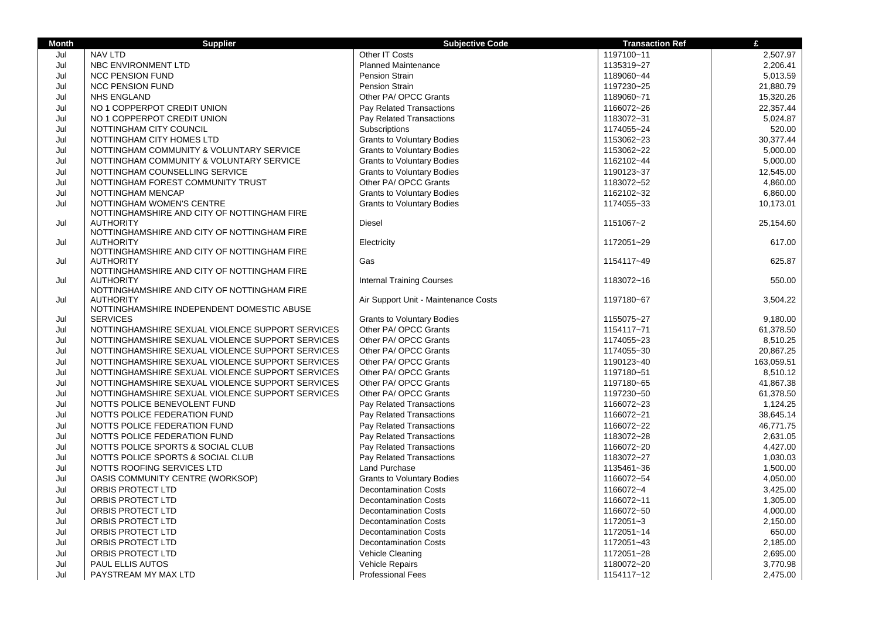| <b>Month</b> | <b>Supplier</b>                                                 | <b>Subjective Code</b>               | <b>Transaction Ref</b> | £          |
|--------------|-----------------------------------------------------------------|--------------------------------------|------------------------|------------|
| Jul          | <b>NAV LTD</b>                                                  | Other IT Costs                       | 1197100~11             | 2,507.97   |
| Jul          | NBC ENVIRONMENT LTD                                             | <b>Planned Maintenance</b>           | 1135319~27             | 2,206.41   |
| Jul          | <b>NCC PENSION FUND</b>                                         | <b>Pension Strain</b>                | 1189060~44             | 5,013.59   |
| Jul          | <b>NCC PENSION FUND</b>                                         | <b>Pension Strain</b>                | 1197230~25             | 21,880.79  |
| Jul          | <b>NHS ENGLAND</b>                                              | Other PA/ OPCC Grants                | 1189060~71             | 15,320.26  |
| Jul          | NO 1 COPPERPOT CREDIT UNION                                     | <b>Pay Related Transactions</b>      | 1166072~26             | 22,357.44  |
| Jul          | NO 1 COPPERPOT CREDIT UNION                                     | Pay Related Transactions             | 1183072~31             | 5,024.87   |
| Jul          | NOTTINGHAM CITY COUNCIL                                         | Subscriptions                        | 1174055~24             | 520.00     |
| Jul          | NOTTINGHAM CITY HOMES LTD                                       | <b>Grants to Voluntary Bodies</b>    | 1153062~23             | 30,377.44  |
| Jul          | NOTTINGHAM COMMUNITY & VOLUNTARY SERVICE                        | <b>Grants to Voluntary Bodies</b>    | 1153062~22             | 5,000.00   |
| Jul          | NOTTINGHAM COMMUNITY & VOLUNTARY SERVICE                        | <b>Grants to Voluntary Bodies</b>    | 1162102~44             | 5,000.00   |
| Jul          | NOTTINGHAM COUNSELLING SERVICE                                  | <b>Grants to Voluntary Bodies</b>    | 1190123~37             | 12,545.00  |
| Jul          | NOTTINGHAM FOREST COMMUNITY TRUST                               | Other PA/ OPCC Grants                | 1183072~52             | 4,860.00   |
| Jul          | NOTTINGHAM MENCAP                                               | <b>Grants to Voluntary Bodies</b>    | 1162102~32             | 6,860.00   |
| Jul          | NOTTINGHAM WOMEN'S CENTRE                                       | <b>Grants to Voluntary Bodies</b>    | 1174055~33             | 10,173.01  |
|              | NOTTINGHAMSHIRE AND CITY OF NOTTINGHAM FIRE                     |                                      |                        |            |
| Jul          | <b>AUTHORITY</b>                                                | Diesel                               | 1151067~2              | 25,154.60  |
|              | NOTTINGHAMSHIRE AND CITY OF NOTTINGHAM FIRE                     |                                      |                        |            |
| Jul          | <b>AUTHORITY</b>                                                | Electricity                          | 1172051~29             | 617.00     |
|              | NOTTINGHAMSHIRE AND CITY OF NOTTINGHAM FIRE                     |                                      |                        |            |
| Jul          | <b>AUTHORITY</b><br>NOTTINGHAMSHIRE AND CITY OF NOTTINGHAM FIRE | Gas                                  | 1154117~49             | 625.87     |
| Jul          | <b>AUTHORITY</b>                                                | <b>Internal Training Courses</b>     | 1183072~16             | 550.00     |
|              | NOTTINGHAMSHIRE AND CITY OF NOTTINGHAM FIRE                     |                                      |                        |            |
| Jul          | <b>AUTHORITY</b>                                                | Air Support Unit - Maintenance Costs | 1197180~67             | 3,504.22   |
|              | NOTTINGHAMSHIRE INDEPENDENT DOMESTIC ABUSE                      |                                      |                        |            |
| Jul          | <b>SERVICES</b>                                                 | <b>Grants to Voluntary Bodies</b>    | 1155075~27             | 9,180.00   |
| Jul          | NOTTINGHAMSHIRE SEXUAL VIOLENCE SUPPORT SERVICES                | Other PA/ OPCC Grants                | 1154117~71             | 61,378.50  |
| Jul          | NOTTINGHAMSHIRE SEXUAL VIOLENCE SUPPORT SERVICES                | Other PA/ OPCC Grants                | 1174055~23             | 8,510.25   |
| Jul          | NOTTINGHAMSHIRE SEXUAL VIOLENCE SUPPORT SERVICES                | Other PA/ OPCC Grants                | 1174055~30             | 20,867.25  |
| Jul          | NOTTINGHAMSHIRE SEXUAL VIOLENCE SUPPORT SERVICES                | Other PA/ OPCC Grants                | 1190123~40             | 163,059.51 |
| Jul          | NOTTINGHAMSHIRE SEXUAL VIOLENCE SUPPORT SERVICES                | Other PA/ OPCC Grants                | 1197180~51             | 8,510.12   |
| Jul          | NOTTINGHAMSHIRE SEXUAL VIOLENCE SUPPORT SERVICES                | Other PA/ OPCC Grants                | 1197180~65             | 41,867.38  |
| Jul          | NOTTINGHAMSHIRE SEXUAL VIOLENCE SUPPORT SERVICES                | Other PA/ OPCC Grants                | 1197230~50             | 61,378.50  |
| Jul          | NOTTS POLICE BENEVOLENT FUND                                    | Pay Related Transactions             | 1166072~23             | 1,124.25   |
| Jul          | NOTTS POLICE FEDERATION FUND                                    | Pay Related Transactions             | 1166072~21             | 38,645.14  |
| Jul          | NOTTS POLICE FEDERATION FUND                                    | Pay Related Transactions             | 1166072~22             | 46,771.75  |
| Jul          | NOTTS POLICE FEDERATION FUND                                    | Pay Related Transactions             | 1183072~28             | 2,631.05   |
| Jul          | NOTTS POLICE SPORTS & SOCIAL CLUB                               | Pay Related Transactions             | 1166072~20             | 4,427.00   |
| Jul          | NOTTS POLICE SPORTS & SOCIAL CLUB                               | Pay Related Transactions             | 1183072~27             | 1,030.03   |
| Jul          | NOTTS ROOFING SERVICES LTD                                      | Land Purchase                        | 1135461~36             | 1,500.00   |
| Jul          | OASIS COMMUNITY CENTRE (WORKSOP)                                | <b>Grants to Voluntary Bodies</b>    | 1166072~54             | 4,050.00   |
| Jul          | ORBIS PROTECT LTD                                               | <b>Decontamination Costs</b>         | 1166072~4              | 3,425.00   |
| Jul          | ORBIS PROTECT LTD                                               | <b>Decontamination Costs</b>         | 1166072~11             | 1,305.00   |
| Jul          | ORBIS PROTECT LTD                                               | <b>Decontamination Costs</b>         | 1166072~50             | 4,000.00   |
| Jul          | ORBIS PROTECT LTD                                               | <b>Decontamination Costs</b>         | 1172051~3              | 2,150.00   |
| Jul          | ORBIS PROTECT LTD                                               | <b>Decontamination Costs</b>         | 1172051~14             | 650.00     |
| Jul          | ORBIS PROTECT LTD                                               | <b>Decontamination Costs</b>         | 1172051~43             | 2,185.00   |
| Jul          | ORBIS PROTECT LTD                                               | Vehicle Cleaning                     | 1172051~28             | 2,695.00   |
| Jul          | PAUL ELLIS AUTOS                                                | <b>Vehicle Repairs</b>               | 1180072~20             | 3,770.98   |
| Jul          | PAYSTREAM MY MAX LTD                                            | <b>Professional Fees</b>             | 1154117~12             | 2,475.00   |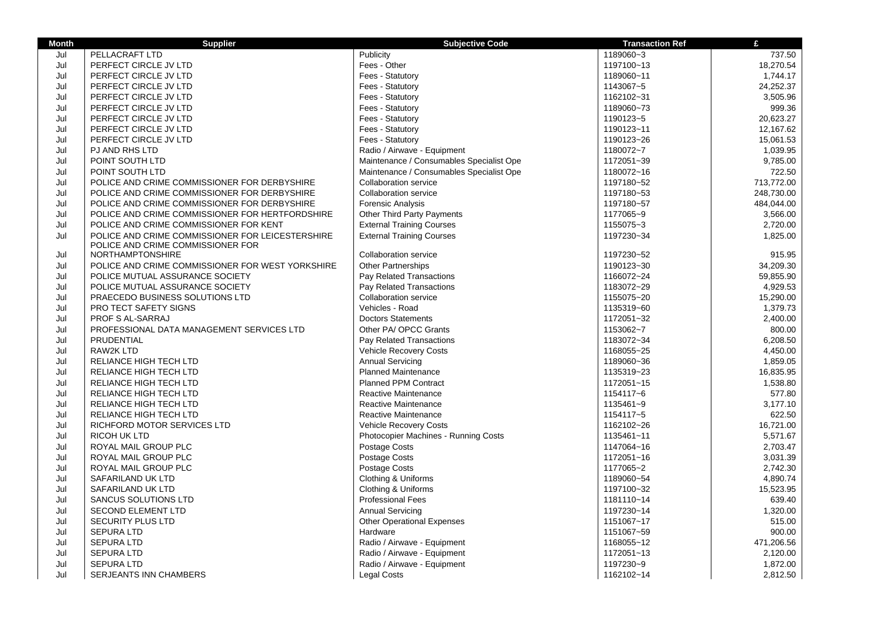| <b>Month</b> | <b>Supplier</b>                                                                       | <b>Subjective Code</b>                   | <b>Transaction Ref</b> | £          |
|--------------|---------------------------------------------------------------------------------------|------------------------------------------|------------------------|------------|
| Jul          | PELLACRAFT LTD                                                                        | Publicity                                | 1189060~3              | 737.50     |
| Jul          | PERFECT CIRCLE JV LTD                                                                 | Fees - Other                             | 1197100~13             | 18,270.54  |
| Jul          | PERFECT CIRCLE JV LTD                                                                 | Fees - Statutory                         | 1189060~11             | 1,744.17   |
| Jul          | PERFECT CIRCLE JV LTD                                                                 | Fees - Statutory                         | 1143067~5              | 24,252.37  |
| Jul          | PERFECT CIRCLE JV LTD                                                                 | Fees - Statutory                         | 1162102~31             | 3,505.96   |
| Jul          | PERFECT CIRCLE JV LTD                                                                 | Fees - Statutory                         | 1189060~73             | 999.36     |
| Jul          | PERFECT CIRCLE JV LTD                                                                 | Fees - Statutory                         | 1190123~5              | 20,623.27  |
| Jul          | PERFECT CIRCLE JV LTD                                                                 | Fees - Statutory                         | 1190123~11             | 12,167.62  |
| Jul          | PERFECT CIRCLE JV LTD                                                                 | Fees - Statutory                         | 1190123~26             | 15,061.53  |
| Jul          | PJ AND RHS LTD                                                                        | Radio / Airwave - Equipment              | 1180072~7              | 1,039.95   |
| Jul          | POINT SOUTH LTD                                                                       | Maintenance / Consumables Specialist Ope | 1172051~39             | 9,785.00   |
| Jul          | POINT SOUTH LTD                                                                       | Maintenance / Consumables Specialist Ope | 1180072~16             | 722.50     |
| Jul          | POLICE AND CRIME COMMISSIONER FOR DERBYSHIRE                                          | <b>Collaboration service</b>             | 1197180~52             | 713,772.00 |
| Jul          | POLICE AND CRIME COMMISSIONER FOR DERBYSHIRE                                          | <b>Collaboration service</b>             | 1197180~53             | 248,730.00 |
| Jul          | POLICE AND CRIME COMMISSIONER FOR DERBYSHIRE                                          | <b>Forensic Analysis</b>                 | 1197180~57             | 484,044.00 |
| Jul          | POLICE AND CRIME COMMISSIONER FOR HERTFORDSHIRE                                       | Other Third Party Payments               | 1177065~9              | 3,566.00   |
| Jul          | POLICE AND CRIME COMMISSIONER FOR KENT                                                | <b>External Training Courses</b>         | 1155075~3              | 2,720.00   |
| Jul          | POLICE AND CRIME COMMISSIONER FOR LEICESTERSHIRE<br>POLICE AND CRIME COMMISSIONER FOR | <b>External Training Courses</b>         | 1197230~34             | 1,825.00   |
| Jul          | <b>NORTHAMPTONSHIRE</b>                                                               | <b>Collaboration service</b>             | 1197230~52             | 915.95     |
| Jul          | POLICE AND CRIME COMMISSIONER FOR WEST YORKSHIRE                                      | <b>Other Partnerships</b>                | 1190123~30             | 34.209.30  |
| Jul          | POLICE MUTUAL ASSURANCE SOCIETY                                                       | Pay Related Transactions                 | 1166072~24             | 59,855.90  |
| Jul          | POLICE MUTUAL ASSURANCE SOCIETY                                                       | Pay Related Transactions                 | 1183072~29             | 4,929.53   |
| Jul          | PRAECEDO BUSINESS SOLUTIONS LTD                                                       | <b>Collaboration service</b>             | 1155075~20             | 15,290.00  |
| Jul          | <b>PRO TECT SAFETY SIGNS</b>                                                          | Vehicles - Road                          | 1135319~60             | 1,379.73   |
| Jul          | PROF S AL-SARRAJ                                                                      | <b>Doctors Statements</b>                | 1172051~32             | 2,400.00   |
| Jul          | PROFESSIONAL DATA MANAGEMENT SERVICES LTD                                             | Other PA/ OPCC Grants                    | 1153062~7              | 800.00     |
| Jul          | PRUDENTIAL                                                                            | Pay Related Transactions                 | 1183072~34             | 6,208.50   |
| Jul          | <b>RAW2K LTD</b>                                                                      | <b>Vehicle Recovery Costs</b>            | 1168055~25             | 4,450.00   |
| Jul          | RELIANCE HIGH TECH LTD                                                                | <b>Annual Servicing</b>                  | 1189060~36             | 1,859.05   |
| Jul          | RELIANCE HIGH TECH LTD                                                                | <b>Planned Maintenance</b>               | 1135319~23             | 16,835.95  |
| Jul          | RELIANCE HIGH TECH LTD                                                                | <b>Planned PPM Contract</b>              | 1172051~15             | 1,538.80   |
| Jul          | RELIANCE HIGH TECH LTD                                                                | Reactive Maintenance                     | 1154117~6              | 577.80     |
| Jul          | <b>RELIANCE HIGH TECH LTD</b>                                                         | Reactive Maintenance                     | 1135461~9              | 3,177.10   |
| Jul          | <b>RELIANCE HIGH TECH LTD</b>                                                         | Reactive Maintenance                     | 1154117~5              | 622.50     |
| Jul          | RICHFORD MOTOR SERVICES LTD                                                           | <b>Vehicle Recovery Costs</b>            | 1162102~26             | 16,721.00  |
| Jul          | <b>RICOH UK LTD</b>                                                                   | Photocopier Machines - Running Costs     | 1135461~11             | 5,571.67   |
| Jul          | ROYAL MAIL GROUP PLC                                                                  | Postage Costs                            | 1147064~16             | 2.703.47   |
| Jul          | ROYAL MAIL GROUP PLC                                                                  | Postage Costs                            | 1172051~16             | 3,031.39   |
| Jul          | ROYAL MAIL GROUP PLC                                                                  | Postage Costs                            | 1177065~2              | 2,742.30   |
| Jul          | SAFARILAND UK LTD                                                                     | Clothing & Uniforms                      | 1189060~54             | 4,890.74   |
| Jul          | SAFARILAND UK LTD                                                                     | Clothing & Uniforms                      | 1197100~32             | 15,523.95  |
| Jul          | <b>SANCUS SOLUTIONS LTD</b>                                                           | <b>Professional Fees</b>                 | 1181110~14             | 639.40     |
| Jul          | <b>SECOND ELEMENT LTD</b>                                                             | <b>Annual Servicing</b>                  | 1197230~14             | 1,320.00   |
| Jul          | <b>SECURITY PLUS LTD</b>                                                              | <b>Other Operational Expenses</b>        | 1151067~17             | 515.00     |
| Jul          | <b>SEPURA LTD</b>                                                                     | Hardware                                 | 1151067~59             | 900.00     |
| Jul          | <b>SEPURA LTD</b>                                                                     | Radio / Airwave - Equipment              | 1168055~12             | 471,206.56 |
| Jul          | <b>SEPURA LTD</b>                                                                     | Radio / Airwave - Equipment              | 1172051~13             | 2,120.00   |
| Jul          | <b>SEPURA LTD</b>                                                                     | Radio / Airwave - Equipment              | 1197230~9              | 1,872.00   |
| Jul          | <b>SERJEANTS INN CHAMBERS</b>                                                         | <b>Legal Costs</b>                       | 1162102~14             | 2,812.50   |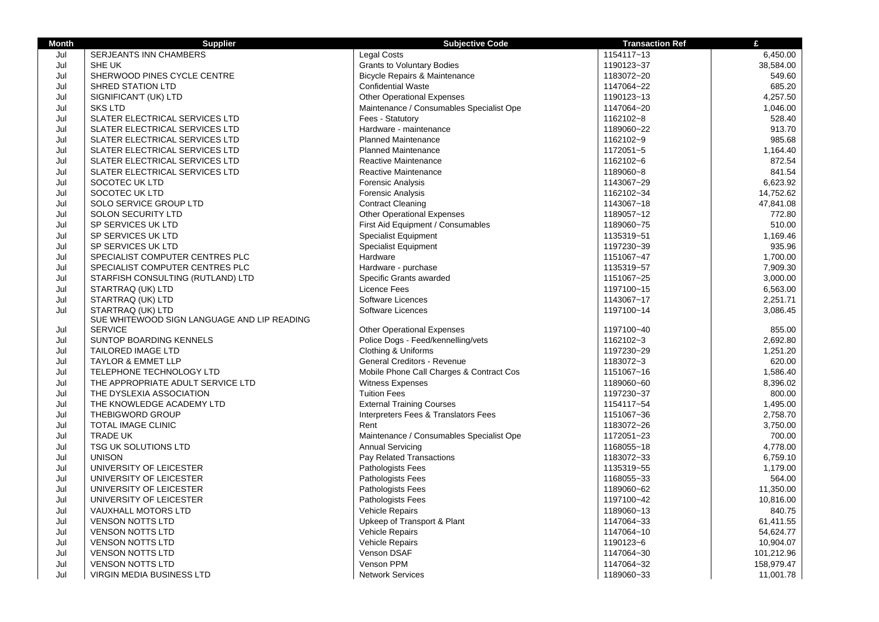| <b>Month</b> | <b>Supplier</b>                             | <b>Subjective Code</b>                   | <b>Transaction Ref</b> | £          |
|--------------|---------------------------------------------|------------------------------------------|------------------------|------------|
| Jul          | SERJEANTS INN CHAMBERS                      | <b>Legal Costs</b>                       | 1154117~13             | 6,450.00   |
| Jul          | SHE UK                                      | <b>Grants to Voluntary Bodies</b>        | 1190123~37             | 38,584.00  |
| Jul          | SHERWOOD PINES CYCLE CENTRE                 | <b>Bicycle Repairs &amp; Maintenance</b> | 1183072~20             | 549.60     |
| Jul          | <b>SHRED STATION LTD</b>                    | <b>Confidential Waste</b>                | 1147064~22             | 685.20     |
| Jul          | SIGNIFICAN'T (UK) LTD                       | <b>Other Operational Expenses</b>        | 1190123~13             | 4,257.50   |
| Jul          | <b>SKS LTD</b>                              | Maintenance / Consumables Specialist Ope | 1147064~20             | 1,046.00   |
| Jul          | SLATER ELECTRICAL SERVICES LTD              | Fees - Statutory                         | 1162102~8              | 528.40     |
| Jul          | SLATER ELECTRICAL SERVICES LTD              | Hardware - maintenance                   | 1189060~22             | 913.70     |
| Jul          | SLATER ELECTRICAL SERVICES LTD              | <b>Planned Maintenance</b>               | 1162102~9              | 985.68     |
| Jul          | SLATER ELECTRICAL SERVICES LTD              | <b>Planned Maintenance</b>               | 1172051~5              | 1,164.40   |
| Jul          | SLATER ELECTRICAL SERVICES LTD              | Reactive Maintenance                     | 1162102~6              | 872.54     |
| Jul          | SLATER ELECTRICAL SERVICES LTD              | Reactive Maintenance                     | 1189060~8              | 841.54     |
| Jul          | SOCOTEC UK LTD                              | <b>Forensic Analysis</b>                 | 1143067~29             | 6,623.92   |
| Jul          | SOCOTEC UK LTD                              | Forensic Analysis                        | 1162102~34             | 14,752.62  |
| Jul          | SOLO SERVICE GROUP LTD                      | <b>Contract Cleaning</b>                 | 1143067~18             | 47,841.08  |
| Jul          | SOLON SECURITY LTD                          | <b>Other Operational Expenses</b>        | 1189057~12             | 772.80     |
| Jul          | SP SERVICES UK LTD                          | First Aid Equipment / Consumables        | 1189060~75             | 510.00     |
| Jul          | SP SERVICES UK LTD                          | <b>Specialist Equipment</b>              | 1135319~51             | 1,169.46   |
| Jul          | SP SERVICES UK LTD                          | <b>Specialist Equipment</b>              | 1197230~39             | 935.96     |
| Jul          | SPECIALIST COMPUTER CENTRES PLC             | Hardware                                 | 1151067~47             | 1,700.00   |
| Jul          | SPECIALIST COMPUTER CENTRES PLC             | Hardware - purchase                      | 1135319~57             | 7,909.30   |
| Jul          | STARFISH CONSULTING (RUTLAND) LTD           | Specific Grants awarded                  | 1151067~25             | 3,000.00   |
| Jul          | STARTRAQ (UK) LTD                           | Licence Fees                             | 1197100~15             | 6,563.00   |
| Jul          | STARTRAQ (UK) LTD                           | Software Licences                        | 1143067~17             | 2,251.71   |
| Jul          | STARTRAQ (UK) LTD                           | Software Licences                        | 1197100~14             | 3,086.45   |
|              | SUE WHITEWOOD SIGN LANGUAGE AND LIP READING |                                          |                        |            |
| Jul          | <b>SERVICE</b>                              | <b>Other Operational Expenses</b>        | 1197100~40             | 855.00     |
| Jul          | SUNTOP BOARDING KENNELS                     | Police Dogs - Feed/kennelling/vets       | 1162102~3              | 2,692.80   |
| Jul          | <b>TAILORED IMAGE LTD</b>                   | Clothing & Uniforms                      | 1197230~29             | 1,251.20   |
| Jul          | <b>TAYLOR &amp; EMMET LLP</b>               | General Creditors - Revenue              | 1183072~3              | 620.00     |
| Jul          | TELEPHONE TECHNOLOGY LTD                    | Mobile Phone Call Charges & Contract Cos | 1151067~16             | 1,586.40   |
| Jul          | THE APPROPRIATE ADULT SERVICE LTD           | <b>Witness Expenses</b>                  | 1189060~60             | 8,396.02   |
| Jul          | THE DYSLEXIA ASSOCIATION                    | <b>Tuition Fees</b>                      | 1197230~37             | 800.00     |
| Jul          | THE KNOWLEDGE ACADEMY LTD                   | <b>External Training Courses</b>         | 1154117~54             | 1,495.00   |
| Jul          | <b>THEBIGWORD GROUP</b>                     | Interpreters Fees & Translators Fees     | 1151067~36             | 2,758.70   |
| Jul          | <b>TOTAL IMAGE CLINIC</b>                   | Rent                                     | 1183072~26             | 3,750.00   |
| Jul          | <b>TRADE UK</b>                             | Maintenance / Consumables Specialist Ope | 1172051~23             | 700.00     |
| Jul          | <b>TSG UK SOLUTIONS LTD</b>                 | Annual Servicing                         | 1168055~18             | 4,778.00   |
| Jul          | <b>UNISON</b>                               | Pay Related Transactions                 | 1183072~33             | 6,759.10   |
| Jul          | UNIVERSITY OF LEICESTER                     | Pathologists Fees                        | 1135319~55             | 1,179.00   |
| Jul          | UNIVERSITY OF LEICESTER                     | <b>Pathologists Fees</b>                 | 1168055~33             | 564.00     |
| Jul          | UNIVERSITY OF LEICESTER                     | Pathologists Fees                        | 1189060~62             | 11,350.00  |
| Jul          | UNIVERSITY OF LEICESTER                     | Pathologists Fees                        | 1197100~42             | 10,816.00  |
| Jul          | <b>VAUXHALL MOTORS LTD</b>                  | <b>Vehicle Repairs</b>                   | 1189060~13             | 840.75     |
| Jul          | <b>VENSON NOTTS LTD</b>                     | Upkeep of Transport & Plant              | 1147064~33             | 61,411.55  |
| Jul          | <b>VENSON NOTTS LTD</b>                     | Vehicle Repairs                          | 1147064~10             | 54,624.77  |
| Jul          | <b>VENSON NOTTS LTD</b>                     | <b>Vehicle Repairs</b>                   | 1190123~6              | 10,904.07  |
| Jul          | <b>VENSON NOTTS LTD</b>                     | Venson DSAF                              | 1147064~30             | 101,212.96 |
| Jul          | <b>VENSON NOTTS LTD</b>                     | Venson PPM                               | 1147064~32             | 158,979.47 |
| Jul          | VIRGIN MEDIA BUSINESS LTD                   | <b>Network Services</b>                  | 1189060~33             | 11,001.78  |